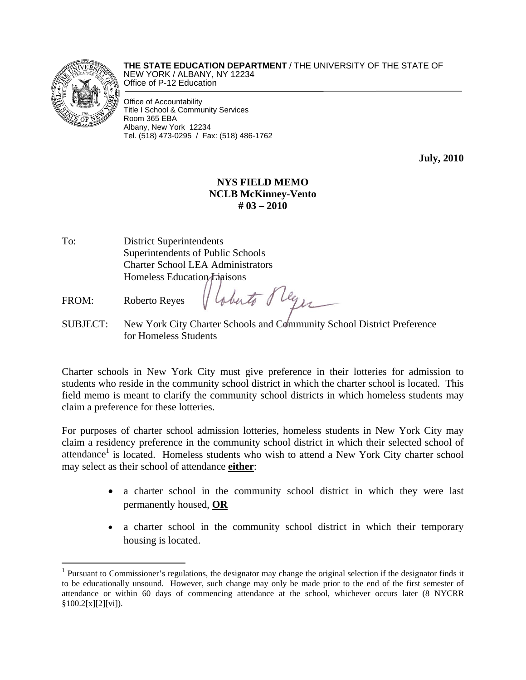

 $\overline{a}$ 

**THE STATE EDUCATION DEPARTMENT** / THE UNIVERSITY OF THE STATE OF NEW YORK / ALBANY, NY 12234 Office of P-12 Education

Office of Accountability Title I School & Community Services Room 365 EBA Albany, New York 12234 Tel. (518) 473-0295 / Fax: (518) 486-1762

**July, 2010** 

## **NYS FIELD MEMO NCLB McKinney-Vento # 03 – 2010**

- To: District Superintendents Superintendents of Public Schools Charter School LEA Administrators Homeless Education Liaisons
- FROM: Roberto Reyes
- SUBJECT: New York City Charter Schools and Community School District Preference for Homeless Students

aberto fleges

Charter schools in New York City must give preference in their lotteries for admission to students who reside in the community school district in which the charter school is located. This field memo is meant to clarify the community school districts in which homeless students may claim a preference for these lotteries.

For purposes of charter school admission lotteries, homeless students in New York City may claim a residency preference in the community school district in which their selected school of attendance<sup>1</sup> is located. Homeless students who wish to attend a New York City charter school may select as their school of attendance **either**:

- a charter school in the community school district in which they were last permanently housed, **OR**
- a charter school in the community school district in which their temporary housing is located.

 $1$  Pursuant to Commissioner's regulations, the designator may change the original selection if the designator finds it to be educationally unsound. However, such change may only be made prior to the end of the first semester of attendance or within 60 days of commencing attendance at the school, whichever occurs later (8 NYCRR §100.2[x][2][vi]).